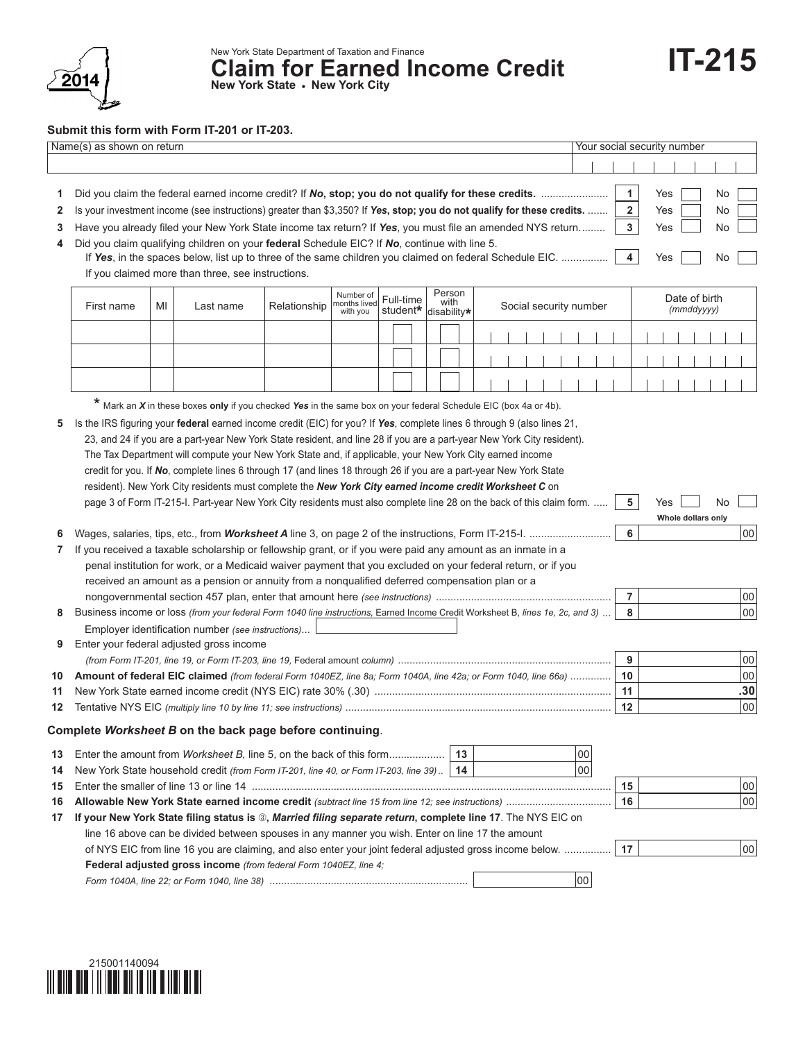

## **Submit this form with Form IT-201 or IT-203.**

| Name(s) as shown on return |                                                                                                                                                              |                                                                                                                                                                                                                             |                                                                                                                                |  |  |  |  |  | Your social security number |  |                             |                |    |        |     |         |     |     |                    |    |    |
|----------------------------|--------------------------------------------------------------------------------------------------------------------------------------------------------------|-----------------------------------------------------------------------------------------------------------------------------------------------------------------------------------------------------------------------------|--------------------------------------------------------------------------------------------------------------------------------|--|--|--|--|--|-----------------------------|--|-----------------------------|----------------|----|--------|-----|---------|-----|-----|--------------------|----|----|
|                            |                                                                                                                                                              |                                                                                                                                                                                                                             |                                                                                                                                |  |  |  |  |  |                             |  |                             |                |    |        |     |         |     |     |                    |    |    |
|                            |                                                                                                                                                              |                                                                                                                                                                                                                             |                                                                                                                                |  |  |  |  |  |                             |  |                             |                |    |        |     |         |     |     |                    |    |    |
| 1                          |                                                                                                                                                              |                                                                                                                                                                                                                             |                                                                                                                                |  |  |  |  |  |                             |  |                             | 1              |    | Yes    |     | No      |     |     |                    |    |    |
| 2                          | Is your investment income (see instructions) greater than \$3,350? If Yes, stop; you do not qualify for these credits.                                       |                                                                                                                                                                                                                             |                                                                                                                                |  |  |  |  |  |                             |  |                             | $\overline{2}$ |    | Yes    |     | No      |     |     |                    |    |    |
| 3                          |                                                                                                                                                              | 3<br>Have you already filed your New York State income tax return? If Yes, you must file an amended NYS return<br>Yes<br>No                                                                                                 |                                                                                                                                |  |  |  |  |  |                             |  |                             |                |    |        |     |         |     |     |                    |    |    |
| 4                          |                                                                                                                                                              | Did you claim qualifying children on your federal Schedule EIC? If No, continue with line 5.                                                                                                                                |                                                                                                                                |  |  |  |  |  |                             |  |                             |                | 4  |        | Yes |         | No  |     |                    |    |    |
|                            | If Yes, in the spaces below, list up to three of the same children you claimed on federal Schedule EIC.<br>If you claimed more than three, see instructions. |                                                                                                                                                                                                                             |                                                                                                                                |  |  |  |  |  |                             |  |                             |                |    |        |     |         |     |     |                    |    |    |
|                            |                                                                                                                                                              |                                                                                                                                                                                                                             |                                                                                                                                |  |  |  |  |  |                             |  |                             |                |    |        |     |         |     |     |                    |    |    |
|                            | First name                                                                                                                                                   | Person<br>Number of<br>Full-time<br>with<br>nonths lived<br>MI<br>Social security number<br>Last name<br>Relationship                                                                                                       |                                                                                                                                |  |  |  |  |  |                             |  | Date of birth<br>(mmddyyyy) |                |    |        |     |         |     |     |                    |    |    |
|                            |                                                                                                                                                              | student*<br>with you<br>disability*                                                                                                                                                                                         |                                                                                                                                |  |  |  |  |  |                             |  |                             |                |    |        |     |         |     |     |                    |    |    |
|                            |                                                                                                                                                              |                                                                                                                                                                                                                             |                                                                                                                                |  |  |  |  |  |                             |  |                             |                |    |        |     |         |     |     |                    |    |    |
|                            |                                                                                                                                                              |                                                                                                                                                                                                                             |                                                                                                                                |  |  |  |  |  |                             |  |                             |                |    |        |     |         |     |     |                    |    |    |
|                            |                                                                                                                                                              |                                                                                                                                                                                                                             |                                                                                                                                |  |  |  |  |  |                             |  |                             |                |    |        |     |         |     |     |                    |    |    |
|                            |                                                                                                                                                              |                                                                                                                                                                                                                             |                                                                                                                                |  |  |  |  |  |                             |  |                             |                |    |        |     |         |     |     |                    |    |    |
|                            |                                                                                                                                                              |                                                                                                                                                                                                                             | * Mark an X in these boxes only if you checked Yes in the same box on your federal Schedule EIC (box 4a or 4b).                |  |  |  |  |  |                             |  |                             |                |    |        |     |         |     |     |                    |    |    |
| 5                          |                                                                                                                                                              |                                                                                                                                                                                                                             | Is the IRS figuring your federal earned income credit (EIC) for you? If Yes, complete lines 6 through 9 (also lines 21,        |  |  |  |  |  |                             |  |                             |                |    |        |     |         |     |     |                    |    |    |
|                            |                                                                                                                                                              |                                                                                                                                                                                                                             | 23, and 24 if you are a part-year New York State resident, and line 28 if you are a part-year New York City resident).         |  |  |  |  |  |                             |  |                             |                |    |        |     |         |     |     |                    |    |    |
|                            |                                                                                                                                                              |                                                                                                                                                                                                                             | The Tax Department will compute your New York State and, if applicable, your New York City earned income                       |  |  |  |  |  |                             |  |                             |                |    |        |     |         |     |     |                    |    |    |
|                            |                                                                                                                                                              |                                                                                                                                                                                                                             | credit for you. If No, complete lines 6 through 17 (and lines 18 through 26 if you are a part-year New York State              |  |  |  |  |  |                             |  |                             |                |    |        |     |         |     |     |                    |    |    |
|                            |                                                                                                                                                              |                                                                                                                                                                                                                             | resident). New York City residents must complete the New York City earned income credit Worksheet C on                         |  |  |  |  |  |                             |  |                             |                |    |        |     |         |     |     |                    |    |    |
|                            |                                                                                                                                                              |                                                                                                                                                                                                                             | page 3 of Form IT-215-I. Part-year New York City residents must also complete line 28 on the back of this claim form.          |  |  |  |  |  |                             |  |                             |                |    |        |     | 5       |     | Yes |                    | No |    |
|                            |                                                                                                                                                              |                                                                                                                                                                                                                             |                                                                                                                                |  |  |  |  |  |                             |  |                             |                |    |        |     |         |     |     | Whole dollars only |    |    |
|                            |                                                                                                                                                              |                                                                                                                                                                                                                             |                                                                                                                                |  |  |  |  |  |                             |  |                             |                |    |        |     | 6       |     |     |                    |    | 00 |
| 7                          |                                                                                                                                                              |                                                                                                                                                                                                                             |                                                                                                                                |  |  |  |  |  |                             |  |                             |                |    |        |     |         |     |     |                    |    |    |
|                            |                                                                                                                                                              | If you received a taxable scholarship or fellowship grant, or if you were paid any amount as an inmate in a<br>penal institution for work, or a Medicaid waiver payment that you excluded on your federal return, or if you |                                                                                                                                |  |  |  |  |  |                             |  |                             |                |    |        |     |         |     |     |                    |    |    |
|                            |                                                                                                                                                              |                                                                                                                                                                                                                             | received an amount as a pension or annuity from a nonqualified deferred compensation plan or a                                 |  |  |  |  |  |                             |  |                             |                |    |        |     |         |     |     |                    |    |    |
|                            |                                                                                                                                                              |                                                                                                                                                                                                                             |                                                                                                                                |  |  |  |  |  |                             |  |                             |                |    |        |     | 7       |     |     |                    |    | 00 |
| 8                          |                                                                                                                                                              |                                                                                                                                                                                                                             | Business income or loss (from your federal Form 1040 line instructions, Earned Income Credit Worksheet B, lines 1e, 2c, and 3) |  |  |  |  |  |                             |  |                             |                |    |        |     | 8       |     |     |                    |    | 00 |
|                            |                                                                                                                                                              |                                                                                                                                                                                                                             | Employer identification number (see instructions)                                                                              |  |  |  |  |  |                             |  |                             |                |    |        |     |         |     |     |                    |    |    |
| 9                          |                                                                                                                                                              |                                                                                                                                                                                                                             | Enter your federal adjusted gross income                                                                                       |  |  |  |  |  |                             |  |                             |                |    |        |     |         |     |     |                    |    |    |
|                            |                                                                                                                                                              |                                                                                                                                                                                                                             |                                                                                                                                |  |  |  |  |  |                             |  |                             |                |    |        |     | 9       |     |     |                    |    | 00 |
| 10                         |                                                                                                                                                              | Amount of federal EIC claimed (from federal Form 1040EZ, line 8a; Form 1040A, line 42a; or Form 1040, line 66a)                                                                                                             |                                                                                                                                |  |  |  |  |  |                             |  |                             |                | 10 |        |     |         |     | 00  |                    |    |    |
| 11                         |                                                                                                                                                              |                                                                                                                                                                                                                             |                                                                                                                                |  |  |  |  |  |                             |  | 11                          |                |    |        |     | .30     |     |     |                    |    |    |
| 12                         |                                                                                                                                                              |                                                                                                                                                                                                                             |                                                                                                                                |  |  |  |  |  |                             |  |                             |                |    |        |     | $12 \,$ |     |     |                    |    | 00 |
|                            |                                                                                                                                                              |                                                                                                                                                                                                                             | Complete Worksheet B on the back page before continuing.                                                                       |  |  |  |  |  |                             |  |                             |                |    |        |     |         |     |     |                    |    |    |
| 13                         |                                                                                                                                                              |                                                                                                                                                                                                                             | Enter the amount from <i>Worksheet B</i> , line 5, on the back of this form                                                    |  |  |  |  |  | 13                          |  |                             |                |    | 00     |     |         |     |     |                    |    |    |
| 14                         |                                                                                                                                                              |                                                                                                                                                                                                                             | New York State household credit (from Form IT-201, line 40, or Form IT-203, line 39)                                           |  |  |  |  |  | 14                          |  |                             |                |    | 00     |     |         |     |     |                    |    |    |
| 15                         |                                                                                                                                                              |                                                                                                                                                                                                                             |                                                                                                                                |  |  |  |  |  |                             |  |                             |                |    |        |     | 15      |     |     |                    |    | 00 |
| 16                         |                                                                                                                                                              |                                                                                                                                                                                                                             |                                                                                                                                |  |  |  |  |  |                             |  |                             | 16             |    |        |     |         | loo |     |                    |    |    |
| 17                         |                                                                                                                                                              | If your New York State filing status is (3), Married filing separate return, complete line 17. The NYS EIC on                                                                                                               |                                                                                                                                |  |  |  |  |  |                             |  |                             |                |    |        |     |         |     |     |                    |    |    |
|                            |                                                                                                                                                              | line 16 above can be divided between spouses in any manner you wish. Enter on line 17 the amount                                                                                                                            |                                                                                                                                |  |  |  |  |  |                             |  |                             |                |    |        |     |         |     |     |                    |    |    |
|                            | of NYS EIC from line 16 you are claiming, and also enter your joint federal adjusted gross income below.                                                     |                                                                                                                                                                                                                             |                                                                                                                                |  |  |  |  |  |                             |  | 17                          |                |    |        |     | 00      |     |     |                    |    |    |
|                            |                                                                                                                                                              |                                                                                                                                                                                                                             | Federal adjusted gross income (from federal Form 1040EZ, line 4;                                                               |  |  |  |  |  |                             |  |                             |                |    |        |     |         |     |     |                    |    |    |
|                            |                                                                                                                                                              |                                                                                                                                                                                                                             |                                                                                                                                |  |  |  |  |  |                             |  |                             |                |    | $00\,$ |     |         |     |     |                    |    |    |